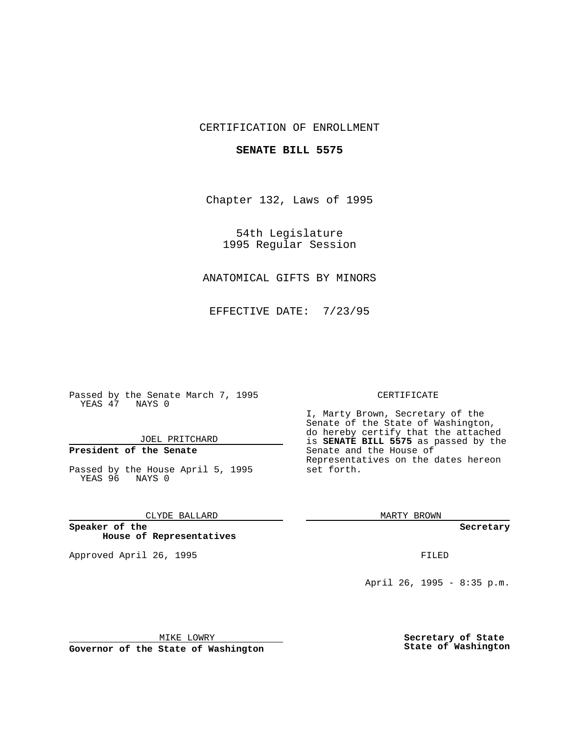#### CERTIFICATION OF ENROLLMENT

#### **SENATE BILL 5575**

Chapter 132, Laws of 1995

54th Legislature 1995 Regular Session

# ANATOMICAL GIFTS BY MINORS

EFFECTIVE DATE: 7/23/95

Passed by the Senate March 7, 1995 YEAS 47 NAYS 0

JOEL PRITCHARD

## **President of the Senate**

Passed by the House April 5, 1995 YEAS 96 NAYS 0

CLYDE BALLARD

**Speaker of the House of Representatives**

Approved April 26, 1995 FILED

#### CERTIFICATE

I, Marty Brown, Secretary of the Senate of the State of Washington, do hereby certify that the attached is **SENATE BILL 5575** as passed by the Senate and the House of Representatives on the dates hereon set forth.

MARTY BROWN

**Secretary**

April 26, 1995 - 8:35 p.m.

MIKE LOWRY

**Governor of the State of Washington**

**Secretary of State State of Washington**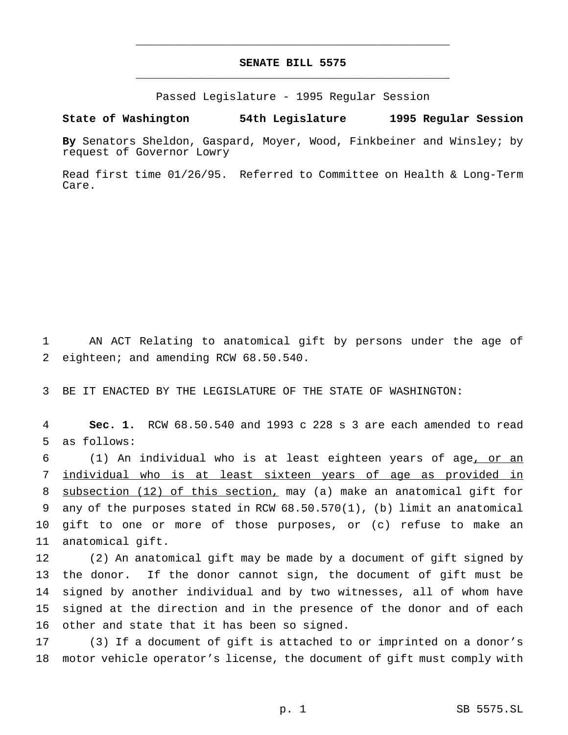# **SENATE BILL 5575** \_\_\_\_\_\_\_\_\_\_\_\_\_\_\_\_\_\_\_\_\_\_\_\_\_\_\_\_\_\_\_\_\_\_\_\_\_\_\_\_\_\_\_\_\_\_\_

\_\_\_\_\_\_\_\_\_\_\_\_\_\_\_\_\_\_\_\_\_\_\_\_\_\_\_\_\_\_\_\_\_\_\_\_\_\_\_\_\_\_\_\_\_\_\_

Passed Legislature - 1995 Regular Session

#### **State of Washington 54th Legislature 1995 Regular Session**

**By** Senators Sheldon, Gaspard, Moyer, Wood, Finkbeiner and Winsley; by request of Governor Lowry

Read first time 01/26/95. Referred to Committee on Health & Long-Term Care.

 AN ACT Relating to anatomical gift by persons under the age of eighteen; and amending RCW 68.50.540.

BE IT ENACTED BY THE LEGISLATURE OF THE STATE OF WASHINGTON:

 **Sec. 1.** RCW 68.50.540 and 1993 c 228 s 3 are each amended to read as follows:

 (1) An individual who is at least eighteen years of age, or an individual who is at least sixteen years of age as provided in subsection (12) of this section, may (a) make an anatomical gift for any of the purposes stated in RCW 68.50.570(1), (b) limit an anatomical gift to one or more of those purposes, or (c) refuse to make an anatomical gift.

 (2) An anatomical gift may be made by a document of gift signed by the donor. If the donor cannot sign, the document of gift must be signed by another individual and by two witnesses, all of whom have signed at the direction and in the presence of the donor and of each other and state that it has been so signed.

 (3) If a document of gift is attached to or imprinted on a donor's motor vehicle operator's license, the document of gift must comply with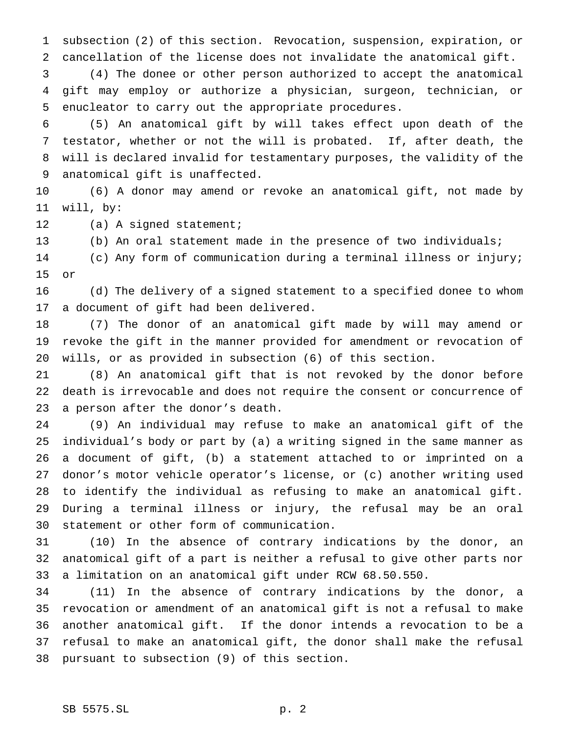subsection (2) of this section. Revocation, suspension, expiration, or cancellation of the license does not invalidate the anatomical gift.

 (4) The donee or other person authorized to accept the anatomical gift may employ or authorize a physician, surgeon, technician, or enucleator to carry out the appropriate procedures.

 (5) An anatomical gift by will takes effect upon death of the testator, whether or not the will is probated. If, after death, the will is declared invalid for testamentary purposes, the validity of the anatomical gift is unaffected.

 (6) A donor may amend or revoke an anatomical gift, not made by will, by:

12 (a) A signed statement;

(b) An oral statement made in the presence of two individuals;

 (c) Any form of communication during a terminal illness or injury; or

 (d) The delivery of a signed statement to a specified donee to whom a document of gift had been delivered.

 (7) The donor of an anatomical gift made by will may amend or revoke the gift in the manner provided for amendment or revocation of wills, or as provided in subsection (6) of this section.

 (8) An anatomical gift that is not revoked by the donor before death is irrevocable and does not require the consent or concurrence of a person after the donor's death.

 (9) An individual may refuse to make an anatomical gift of the individual's body or part by (a) a writing signed in the same manner as a document of gift, (b) a statement attached to or imprinted on a donor's motor vehicle operator's license, or (c) another writing used to identify the individual as refusing to make an anatomical gift. During a terminal illness or injury, the refusal may be an oral statement or other form of communication.

 (10) In the absence of contrary indications by the donor, an anatomical gift of a part is neither a refusal to give other parts nor a limitation on an anatomical gift under RCW 68.50.550.

 (11) In the absence of contrary indications by the donor, a revocation or amendment of an anatomical gift is not a refusal to make another anatomical gift. If the donor intends a revocation to be a refusal to make an anatomical gift, the donor shall make the refusal pursuant to subsection (9) of this section.